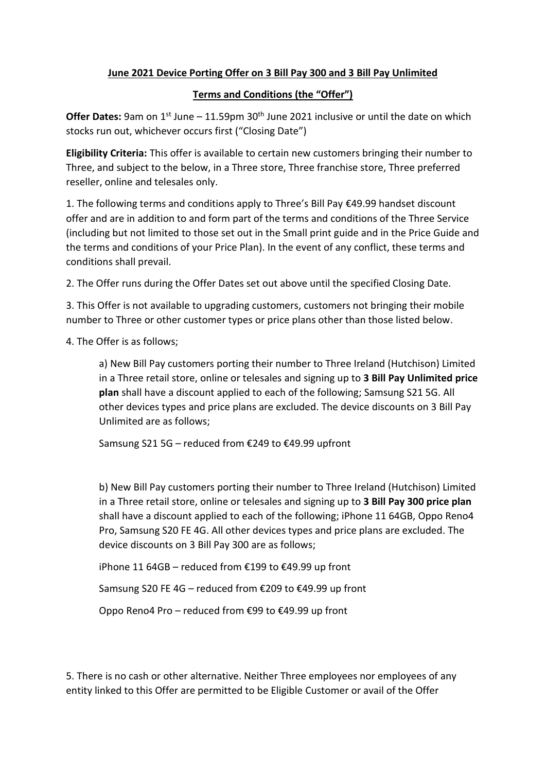## **June 2021 Device Porting Offer on 3 Bill Pay 300 and 3 Bill Pay Unlimited**

## **Terms and Conditions (the "Offer")**

Offer Dates: 9am on 1<sup>st</sup> June – 11.59pm 30<sup>th</sup> June 2021 inclusive or until the date on which stocks run out, whichever occurs first ("Closing Date")

**Eligibility Criteria:** This offer is available to certain new customers bringing their number to Three, and subject to the below, in a Three store, Three franchise store, Three preferred reseller, online and telesales only.

1. The following terms and conditions apply to Three's Bill Pay €49.99 handset discount offer and are in addition to and form part of the terms and conditions of the Three Service (including but not limited to those set out in the Small print guide and in the Price Guide and the terms and conditions of your Price Plan). In the event of any conflict, these terms and conditions shall prevail.

2. The Offer runs during the Offer Dates set out above until the specified Closing Date.

3. This Offer is not available to upgrading customers, customers not bringing their mobile number to Three or other customer types or price plans other than those listed below.

4. The Offer is as follows;

a) New Bill Pay customers porting their number to Three Ireland (Hutchison) Limited in a Three retail store, online or telesales and signing up to **3 Bill Pay Unlimited price plan** shall have a discount applied to each of the following; Samsung S21 5G. All other devices types and price plans are excluded. The device discounts on 3 Bill Pay Unlimited are as follows;

Samsung S21 5G – reduced from €249 to €49.99 upfront

b) New Bill Pay customers porting their number to Three Ireland (Hutchison) Limited in a Three retail store, online or telesales and signing up to **3 Bill Pay 300 price plan** shall have a discount applied to each of the following; iPhone 11 64GB, Oppo Reno4 Pro, Samsung S20 FE 4G. All other devices types and price plans are excluded. The device discounts on 3 Bill Pay 300 are as follows;

iPhone 11 64GB – reduced from €199 to €49.99 up front

Samsung S20 FE 4G – reduced from €209 to €49.99 up front

Oppo Reno4 Pro – reduced from €99 to €49.99 up front

5. There is no cash or other alternative. Neither Three employees nor employees of any entity linked to this Offer are permitted to be Eligible Customer or avail of the Offer